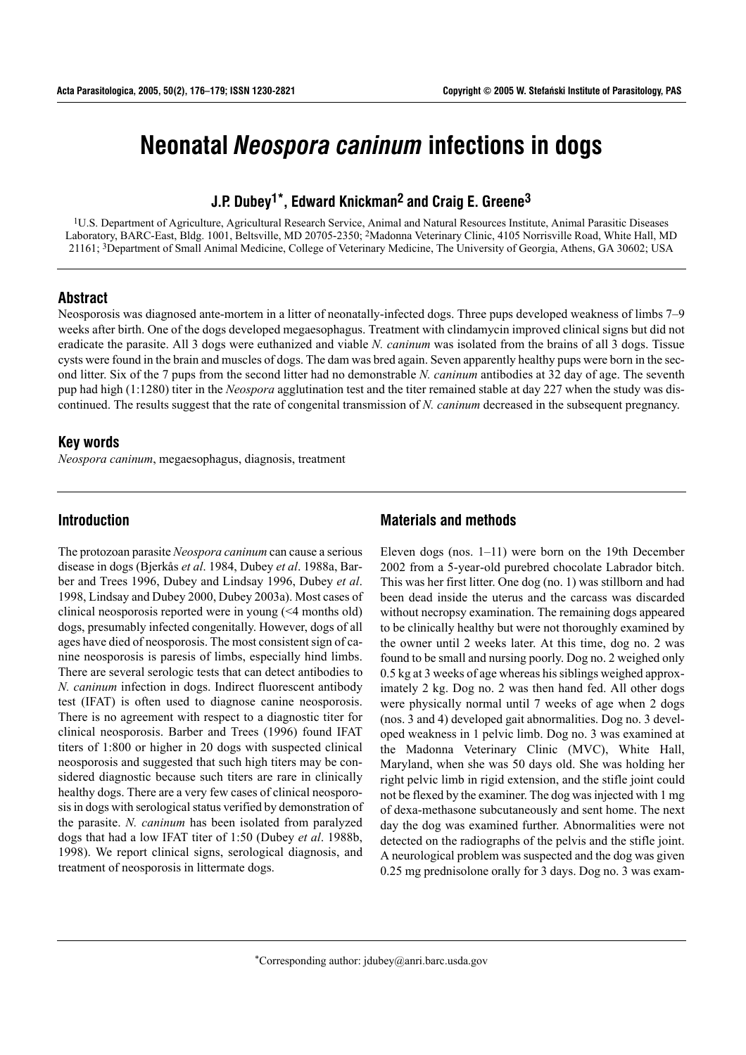# **Neonatal** *Neospora caninum* **infections in dogs**

## **J.P. Dubey1\*, Edward Knickman2 and Craig E. Greene3**

1U.S. Department of Agriculture, Agricultural Research Service, Animal and Natural Resources Institute, Animal Parasitic Diseases Laboratory, BARC-East, Bldg. 1001, Beltsville, MD 20705-2350; 2Madonna Veterinary Clinic, 4105 Norrisville Road, White Hall, MD 21161; 3Department of Small Animal Medicine, College of Veterinary Medicine, The University of Georgia, Athens, GA 30602; USA

#### **Abstract**

Neosporosis was diagnosed ante-mortem in a litter of neonatally-infected dogs. Three pups developed weakness of limbs 7–9 weeks after birth. One of the dogs developed megaesophagus. Treatment with clindamycin improved clinical signs but did not eradicate the parasite. All 3 dogs were euthanized and viable *N. caninum* was isolated from the brains of all 3 dogs. Tissue cysts were found in the brain and muscles of dogs. The dam was bred again. Seven apparently healthy pups were born in the second litter. Six of the 7 pups from the second litter had no demonstrable *N. caninum* antibodies at 32 day of age. The seventh pup had high (1:1280) titer in the *Neospora* agglutination test and the titer remained stable at day 227 when the study was discontinued. The results suggest that the rate of congenital transmission of *N. caninum* decreased in the subsequent pregnancy.

#### **Key words**

*Neospora caninum*, megaesophagus, diagnosis, treatment

### **Introduction**

The protozoan parasite *Neospora caninum* can cause a serious disease in dogs (Bjerkås et al. 1984, Dubey et al. 1988a, Barber and Trees 1996, Dubey and Lindsay 1996, Dubey *et al*. 1998, Lindsay and Dubey 2000, Dubey 2003a). Most cases of clinical neosporosis reported were in young (<4 months old) dogs, presumably infected congenitally. However, dogs of all ages have died of neosporosis. The most consistent sign of canine neosporosis is paresis of limbs, especially hind limbs. There are several serologic tests that can detect antibodies to *N. caninum* infection in dogs. Indirect fluorescent antibody test (IFAT) is often used to diagnose canine neosporosis. There is no agreement with respect to a diagnostic titer for clinical neosporosis. Barber and Trees (1996) found IFAT titers of 1:800 or higher in 20 dogs with suspected clinical neosporosis and suggested that such high titers may be considered diagnostic because such titers are rare in clinically healthy dogs. There are a very few cases of clinical neosporosis in dogs with serological status verified by demonstration of the parasite. *N. caninum* has been isolated from paralyzed dogs that had a low IFAT titer of 1:50 (Dubey *et al*. 1988b, 1998). We report clinical signs, serological diagnosis, and treatment of neosporosis in littermate dogs.

## **Materials and methods**

Eleven dogs (nos.  $1-11$ ) were born on the 19th December 2002 from a 5-year-old purebred chocolate Labrador bitch. This was her first litter. One dog (no. 1) was stillborn and had been dead inside the uterus and the carcass was discarded without necropsy examination. The remaining dogs appeared to be clinically healthy but were not thoroughly examined by the owner until 2 weeks later. At this time, dog no. 2 was found to be small and nursing poorly. Dog no. 2 weighed only 0.5 kg at 3 weeks of age whereas his siblings weighed approximately 2 kg. Dog no. 2 was then hand fed. All other dogs were physically normal until 7 weeks of age when 2 dogs (nos. 3 and 4) developed gait abnormalities. Dog no. 3 developed weakness in 1 pelvic limb. Dog no. 3 was examined at the Madonna Veterinary Clinic (MVC), White Hall, Maryland, when she was 50 days old. She was holding her right pelvic limb in rigid extension, and the stifle joint could not be flexed by the examiner. The dog was injected with 1 mg of dexa-methasone subcutaneously and sent home. The next day the dog was examined further. Abnormalities were not detected on the radiographs of the pelvis and the stifle joint. A neurological problem was suspected and the dog was given 0.25 mg prednisolone orally for 3 days. Dog no. 3 was exam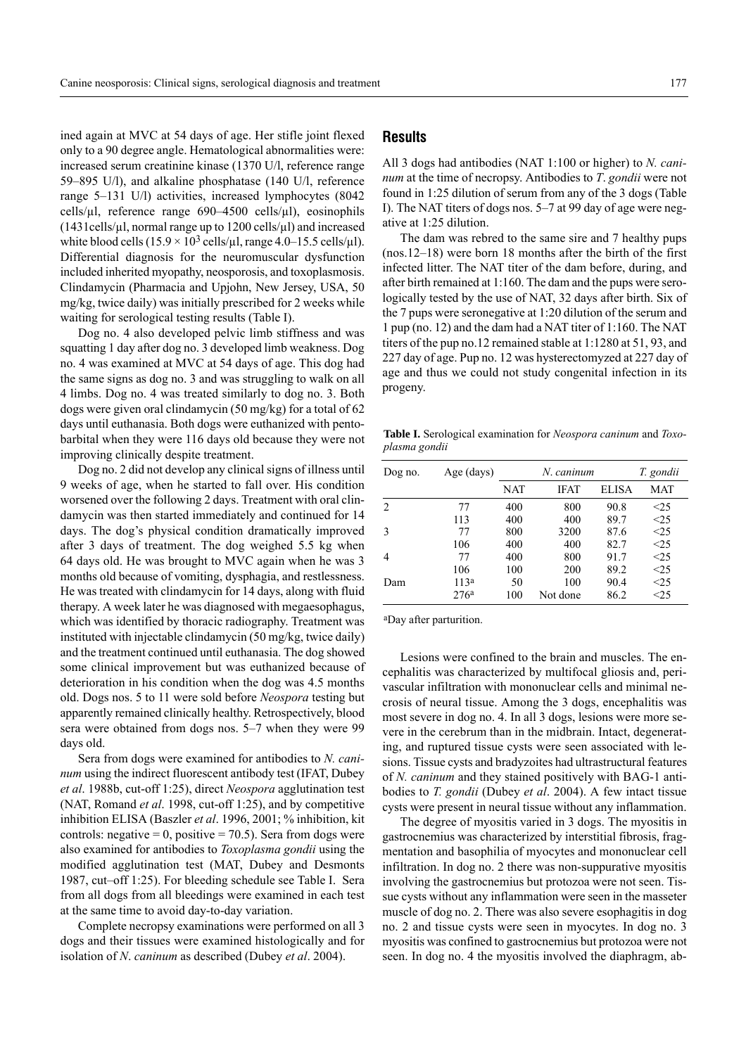ined again at MVC at 54 days of age. Her stifle joint flexed only to a 90 degree angle. Hematological abnormalities were: increased serum creatinine kinase (1370 U/l, reference range 59–895 U/l), and alkaline phosphatase (140 U/l, reference range  $5-131$  U/l) activities, increased lymphocytes (8042) cells/ $\mu$ l, reference range 690–4500 cells/ $\mu$ l), eosinophils  $(1431 \text{cells/}\mu\text{I}$ , normal range up to  $1200 \text{ cells/}\mu\text{I}$ ) and increased white blood cells  $(15.9 \times 10^3 \text{ cells/µl}, \text{range } 4.0-15.5 \text{ cells/µl}).$ Differential diagnosis for the neuromuscular dysfunction included inherited myopathy, neosporosis, and toxoplasmosis. Clindamycin (Pharmacia and Upjohn, New Jersey, USA, 50 mg/kg, twice daily) was initially prescribed for 2 weeks while waiting for serological testing results (Table I).

Dog no. 4 also developed pelvic limb stiffness and was squatting 1 day after dog no. 3 developed limb weakness. Dog no. 4 was examined at MVC at 54 days of age. This dog had the same signs as dog no. 3 and was struggling to walk on all 4 limbs. Dog no. 4 was treated similarly to dog no. 3. Both dogs were given oral clindamycin (50 mg/kg) for a total of 62 days until euthanasia. Both dogs were euthanized with pentobarbital when they were 116 days old because they were not improving clinically despite treatment.

Dog no. 2 did not develop any clinical signs of illness until 9 weeks of age, when he started to fall over. His condition worsened over the following 2 days. Treatment with oral clindamycin was then started immediately and continued for 14 days. The dog's physical condition dramatically improved after 3 days of treatment. The dog weighed 5.5 kg when 64 days old. He was brought to MVC again when he was 3 months old because of vomiting, dysphagia, and restlessness. He was treated with clindamycin for 14 days, along with fluid therapy. A week later he was diagnosed with megaesophagus, which was identified by thoracic radiography. Treatment was instituted with injectable clindamycin (50 mg/kg, twice daily) and the treatment continued until euthanasia. The dog showed some clinical improvement but was euthanized because of deterioration in his condition when the dog was 4.5 months old. Dogs nos. 5 to 11 were sold before *Neospora* testing but apparently remained clinically healthy. Retrospectively, blood sera were obtained from dogs nos.  $5-7$  when they were 99 days old.

Sera from dogs were examined for antibodies to *N. caninum* using the indirect fluorescent antibody test (IFAT, Dubey *et al*. 1988b, cut-off 1:25), direct *Neospora* agglutination test (NAT, Romand *et al*. 1998, cut-off 1:25), and by competitive inhibition ELISA (Baszler *et al*. 1996, 2001; % inhibition, kit controls: negative =  $0$ , positive =  $70.5$ ). Sera from dogs were also examined for antibodies to *Toxoplasma gondii* using the modified agglutination test (MAT, Dubey and Desmonts 1987, cut–off 1:25). For bleeding schedule see Table I. Sera from all dogs from all bleedings were examined in each test at the same time to avoid day-to-day variation.

Complete necropsy examinations were performed on all 3 dogs and their tissues were examined histologically and for isolation of *N*. *caninum* as described (Dubey *et al*. 2004).

#### **Results**

All 3 dogs had antibodies (NAT 1:100 or higher) to *N. caninum* at the time of necropsy. Antibodies to *T*. *gondii* were not found in 1:25 dilution of serum from any of the 3 dogs (Table I). The NAT titers of dogs nos. 5–7 at 99 day of age were negative at 1:25 dilution.

The dam was rebred to the same sire and 7 healthy pups  $(nos.12–18)$  were born 18 months after the birth of the first infected litter. The NAT titer of the dam before, during, and after birth remained at 1:160. The dam and the pups were serologically tested by the use of NAT, 32 days after birth. Six of the 7 pups were seronegative at 1:20 dilution of the serum and 1 pup (no. 12) and the dam had a NAT titer of 1:160. The NAT titers of the pup no.12 remained stable at 1:1280 at 51, 93, and 227 day of age. Pup no. 12 was hysterectomyzed at 227 day of age and thus we could not study congenital infection in its progeny.

**Table I.** Serological examination for *Neospora caninum* and *Toxoplasma gondii*

| Dog no. | Age (days)       |     | N. caninum  |              | T. gondii |
|---------|------------------|-----|-------------|--------------|-----------|
|         |                  | NAT | <b>IFAT</b> | <b>ELISA</b> | MAT       |
| 2       | 77               | 400 | 800         | 90.8         | $<$ 25    |
|         | 113              | 400 | 400         | 89.7         | <25       |
| 3       | 77               | 800 | 3200        | 87.6         | <25       |
|         | 106              | 400 | 400         | 82.7         | <25       |
| 4       | 77               | 400 | 800         | 91.7         | <25       |
|         | 106              | 100 | 200         | 89.2         | <25       |
| Dam     | 113 <sup>a</sup> | 50  | 100         | 90.4         | $<$ 25    |
|         | 276a             | 100 | Not done    | 86.2         | <25       |

aDay after parturition.

Lesions were confined to the brain and muscles. The encephalitis was characterized by multifocal gliosis and, perivascular infiltration with mononuclear cells and minimal necrosis of neural tissue. Among the 3 dogs, encephalitis was most severe in dog no. 4. In all 3 dogs, lesions were more severe in the cerebrum than in the midbrain. Intact, degenerating, and ruptured tissue cysts were seen associated with lesions. Tissue cysts and bradyzoites had ultrastructural features of *N. caninum* and they stained positively with BAG-1 antibodies to *T. gondii* (Dubey *et al*. 2004). A few intact tissue cysts were present in neural tissue without any inflammation.

The degree of myositis varied in 3 dogs. The myositis in gastrocnemius was characterized by interstitial fibrosis, fragmentation and basophilia of myocytes and mononuclear cell infiltration. In dog no. 2 there was non-suppurative myositis involving the gastrocnemius but protozoa were not seen. Tissue cysts without any inflammation were seen in the masseter muscle of dog no. 2. There was also severe esophagitis in dog no. 2 and tissue cysts were seen in myocytes. In dog no. 3 myositis was confined to gastrocnemius but protozoa were not seen. In dog no. 4 the myositis involved the diaphragm, ab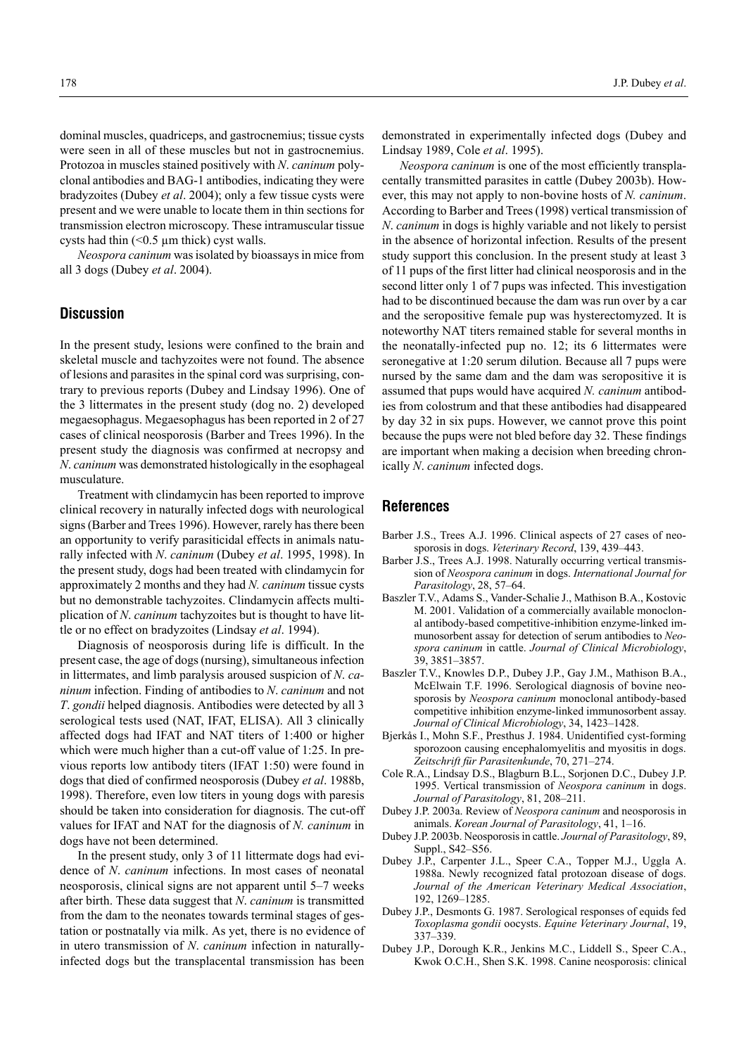dominal muscles, quadriceps, and gastrocnemius; tissue cysts were seen in all of these muscles but not in gastrocnemius. Protozoa in muscles stained positively with *N*. *caninum* polyclonal antibodies and BAG-1 antibodies, indicating they were bradyzoites (Dubey *et al*. 2004); only a few tissue cysts were present and we were unable to locate them in thin sections for transmission electron microscopy. These intramuscular tissue cysts had thin  $($  < 0.5  $\mu$ m thick) cyst walls.

*Neospora caninum* was isolated by bioassays in mice from all 3 dogs (Dubey *et al*. 2004).

#### **Discussion**

In the present study, lesions were confined to the brain and skeletal muscle and tachyzoites were not found. The absence of lesions and parasites in the spinal cord was surprising, contrary to previous reports (Dubey and Lindsay 1996). One of the 3 littermates in the present study (dog no. 2) developed megaesophagus. Megaesophagus has been reported in 2 of 27 cases of clinical neosporosis (Barber and Trees 1996). In the present study the diagnosis was confirmed at necropsy and *N*. *caninum* was demonstrated histologically in the esophageal musculature.

Treatment with clindamycin has been reported to improve clinical recovery in naturally infected dogs with neurological signs (Barber and Trees 1996). However, rarely has there been an opportunity to verify parasiticidal effects in animals naturally infected with *N*. *caninum* (Dubey *et al*. 1995, 1998). In the present study, dogs had been treated with clindamycin for approximately 2 months and they had *N. caninum* tissue cysts but no demonstrable tachyzoites. Clindamycin affects multiplication of *N*. *caninum* tachyzoites but is thought to have little or no effect on bradyzoites (Lindsay *et al*. 1994).

Diagnosis of neosporosis during life is difficult. In the present case, the age of dogs (nursing), simultaneous infection in littermates, and limb paralysis aroused suspicion of *N*. *caninum* infection. Finding of antibodies to *N*. *caninum* and not *T*. *gondii* helped diagnosis. Antibodies were detected by all 3 serological tests used (NAT, IFAT, ELISA). All 3 clinically affected dogs had IFAT and NAT titers of 1:400 or higher which were much higher than a cut-off value of 1:25. In previous reports low antibody titers (IFAT 1:50) were found in dogs that died of confirmed neosporosis (Dubey *et al*. 1988b, 1998). Therefore, even low titers in young dogs with paresis should be taken into consideration for diagnosis. The cut-off values for IFAT and NAT for the diagnosis of *N. caninum* in dogs have not been determined.

In the present study, only 3 of 11 littermate dogs had evidence of *N*. *caninum* infections. In most cases of neonatal neosporosis, clinical signs are not apparent until  $5-7$  weeks after birth. These data suggest that *N*. *caninum* is transmitted from the dam to the neonates towards terminal stages of gestation or postnatally via milk. As yet, there is no evidence of in utero transmission of *N*. *caninum* infection in naturallyinfected dogs but the transplacental transmission has been

demonstrated in experimentally infected dogs (Dubey and Lindsay 1989, Cole *et al*. 1995).

*Neospora caninum* is one of the most efficiently transplacentally transmitted parasites in cattle (Dubey 2003b). However, this may not apply to non-bovine hosts of *N. caninum*. According to Barber and Trees (1998) vertical transmission of *N*. *caninum* in dogs is highly variable and not likely to persist in the absence of horizontal infection. Results of the present study support this conclusion. In the present study at least 3 of 11 pups of the first litter had clinical neosporosis and in the second litter only 1 of 7 pups was infected. This investigation had to be discontinued because the dam was run over by a car and the seropositive female pup was hysterectomyzed. It is noteworthy NAT titers remained stable for several months in the neonatally-infected pup no. 12; its 6 littermates were seronegative at 1:20 serum dilution. Because all 7 pups were nursed by the same dam and the dam was seropositive it is assumed that pups would have acquired *N. caninum* antibodies from colostrum and that these antibodies had disappeared by day 32 in six pups. However, we cannot prove this point because the pups were not bled before day 32. These findings are important when making a decision when breeding chronically *N*. *caninum* infected dogs.

#### **References**

- Barber J.S., Trees A.J. 1996. Clinical aspects of 27 cases of neosporosis in dogs. *Veterinary Record*, 139, 439-443.
- Barber J.S., Trees A.J. 1998. Naturally occurring vertical transmission of *Neospora caninum* in dogs. *International Journal for Parasitology*, 28, 57–64.
- Baszler T.V., Adams S., Vander-Schalie J., Mathison B.A., Kostovic M. 2001. Validation of a commercially available monoclonal antibody-based competitive-inhibition enzyme-linked immunosorbent assay for detection of serum antibodies to *Neospora caninum* in cattle. *Journal of Clinical Microbiology*, 39, 3851-3857.
- Baszler T.V., Knowles D.P., Dubey J.P., Gay J.M., Mathison B.A., McElwain T.F. 1996. Serological diagnosis of bovine neosporosis by *Neospora caninum* monoclonal antibody-based competitive inhibition enzyme-linked immunosorbent assay. Journal of Clinical Microbiology, 34, 1423-1428.
- Bjerkås I., Mohn S.F., Presthus J. 1984. Unidentified cyst-forming sporozoon causing encephalomyelitis and myositis in dogs. Zeitschrift für Parasitenkunde, 70, 271–274.
- Cole R.A., Lindsay D.S., Blagburn B.L., Sorjonen D.C., Dubey J.P. 1995. Vertical transmission of *Neospora caninum* in dogs. *Journal of Parasitology*, 81, 208-211.
- Dubey J.P. 2003a. Review of *Neospora caninum* and neosporosis in animals. *Korean Journal of Parasitology*, 41, 1–16.
- Dubey J.P. 2003b. Neosporosis in cattle. *Journal of Parasitology*, 89, Suppl.,  $S42 - S56$ .
- Dubey J.P., Carpenter J.L., Speer C.A., Topper M.J., Uggla A. 1988a. Newly recognized fatal protozoan disease of dogs. *Journal of the American Veterinary Medical Association*, 192, 1269-1285.
- Dubey J.P., Desmonts G. 1987. Serological responses of equids fed *Toxoplasma gondii* oocysts. *Equine Veterinary Journal*, 19, 337-339.
- Dubey J.P., Dorough K.R., Jenkins M.C., Liddell S., Speer C.A., Kwok O.C.H., Shen S.K. 1998. Canine neosporosis: clinical